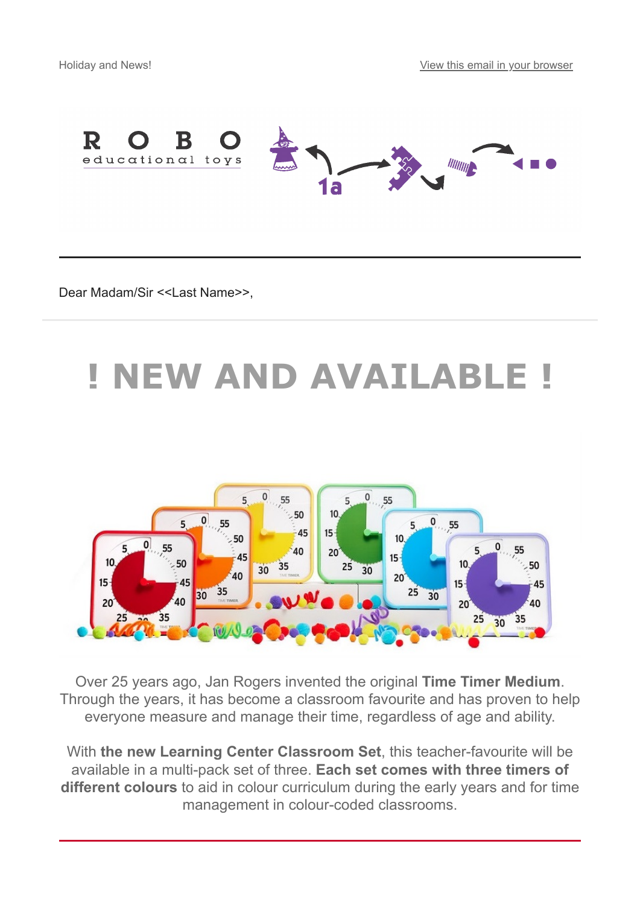

Dear Madam/Sir <<Last Name>>,

# **! NEW AND AVAILABLE !**



Over 25 years ago, Jan Rogers invented the original **Time Timer Medium**. Through the years, it has become a classroom favourite and has proven to help everyone measure and manage their time, regardless of age and ability.

With **the new Learning Center Classroom Set**, this teacher-favourite will be available in a multi-pack set of three. **Each set comes with three timers of different colours** to aid in colour curriculum during the early years and for time management in colour-coded classrooms.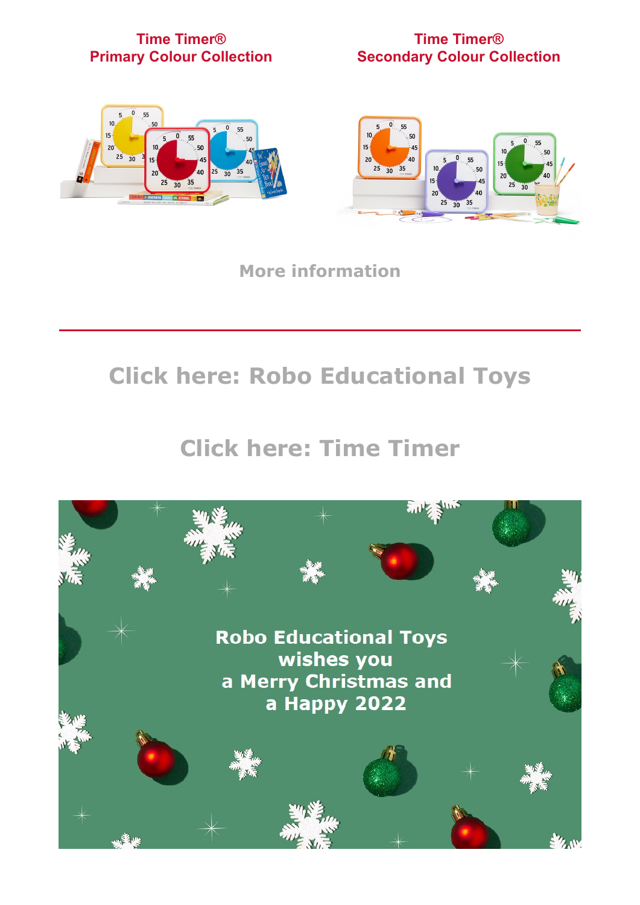#### **Time Timer® Primary Colour Collection**

#### **Time Timer® Secondary Colour Collection**





**[More information](https://timetimer.eu/time-timer-medium-learning-center-classroom-sets/)**

## **[Click here: Robo Educational Toys](https://www.robo-toys.eu/)**

### **[Click here: Time Timer](https://www.timetimer.eu/)**